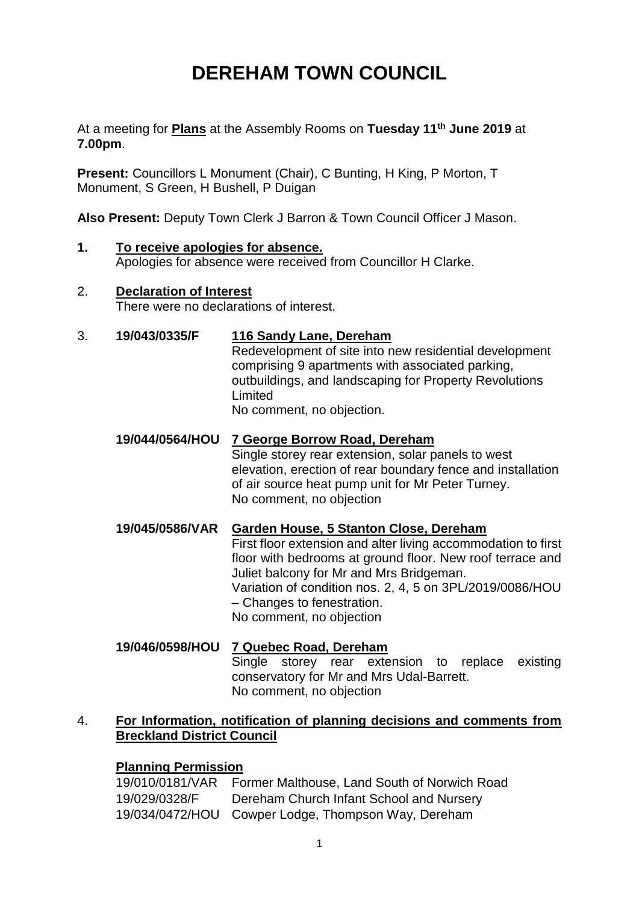## **DEREHAM TOWN COUNCIL**

At a meeting for **Plans** at the Assembly Rooms on **Tuesday 11th June 2019** at **7.00pm**.

**Present:** Councillors L Monument (Chair), C Bunting, H King, P Morton, T Monument, S Green, H Bushell, P Duigan

**Also Present:** Deputy Town Clerk J Barron & Town Council Officer J Mason.

- **1. To receive apologies for absence.**  Apologies for absence were received from Councillor H Clarke.
- 2. **Declaration of Interest** There were no declarations of interest.
- 3. **19/043/0335/F 116 Sandy Lane, Dereham** Redevelopment of site into new residential development comprising 9 apartments with associated parking, outbuildings, and landscaping for Property Revolutions Limited No comment, no objection.
	- **19/044/0564/HOU 7 George Borrow Road, Dereham**

Single storey rear extension, solar panels to west elevation, erection of rear boundary fence and installation of air source heat pump unit for Mr Peter Turney. No comment, no objection

- **19/045/0586/VAR Garden House, 5 Stanton Close, Dereham** First floor extension and alter living accommodation to first floor with bedrooms at ground floor. New roof terrace and Juliet balcony for Mr and Mrs Bridgeman. Variation of condition nos. 2, 4, 5 on 3PL/2019/0086/HOU – Changes to fenestration. No comment, no objection
- **19/046/0598/HOU 7 Quebec Road, Dereham** Single storey rear extension to replace existing conservatory for Mr and Mrs Udal-Barrett. No comment, no objection

## 4. **For Information, notification of planning decisions and comments from Breckland District Council**

## **Planning Permission**

|               | 19/010/0181/VAR Former Malthouse, Land South of Norwich Road |
|---------------|--------------------------------------------------------------|
| 19/029/0328/F | Dereham Church Infant School and Nursery                     |
|               | 19/034/0472/HOU Cowper Lodge, Thompson Way, Dereham          |